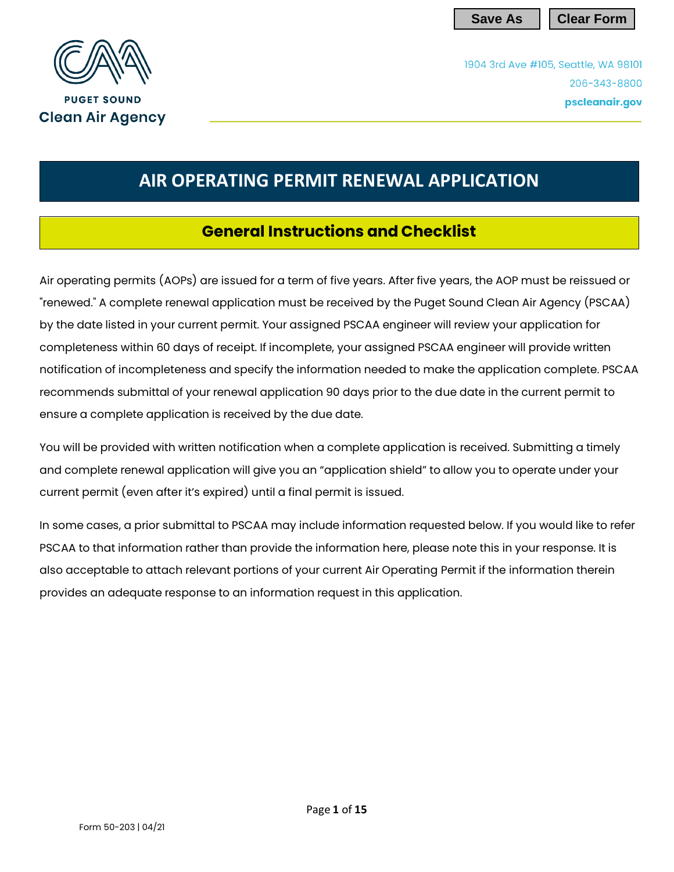**Save As Clear Form**

1904 3rd Ave #105, Seattle, WA 98101 206-343-8800 pscleanair.gov



# **AIR OPERATING PERMIT RENEWAL APPLICATION**

## **General Instructions and Checklist**

Air operating permits (AOPs) are issued for a term of five years. After five years, the AOP must be reissued or "renewed." A complete renewal application must be received by the Puget Sound Clean Air Agency (PSCAA) by the date listed in your current permit. Your assigned PSCAA engineer will review your application for completeness within 60 days of receipt. If incomplete, your assigned PSCAA engineer will provide written notification of incompleteness and specify the information needed to make the application complete. PSCAA recommends submittal of your renewal application 90 days prior to the due date in the current permit to ensure a complete application is received by the due date.

You will be provided with written notification when a complete application is received. Submitting a timely and complete renewal application will give you an "application shield" to allow you to operate under your current permit (even after it's expired) until a final permit is issued.

In some cases, a prior submittal to PSCAA may include information requested below. If you would like to refer PSCAA to that information rather than provide the information here, please note this in your response. It is also acceptable to attach relevant portions of your current Air Operating Permit if the information therein provides an adequate response to an information request in this application.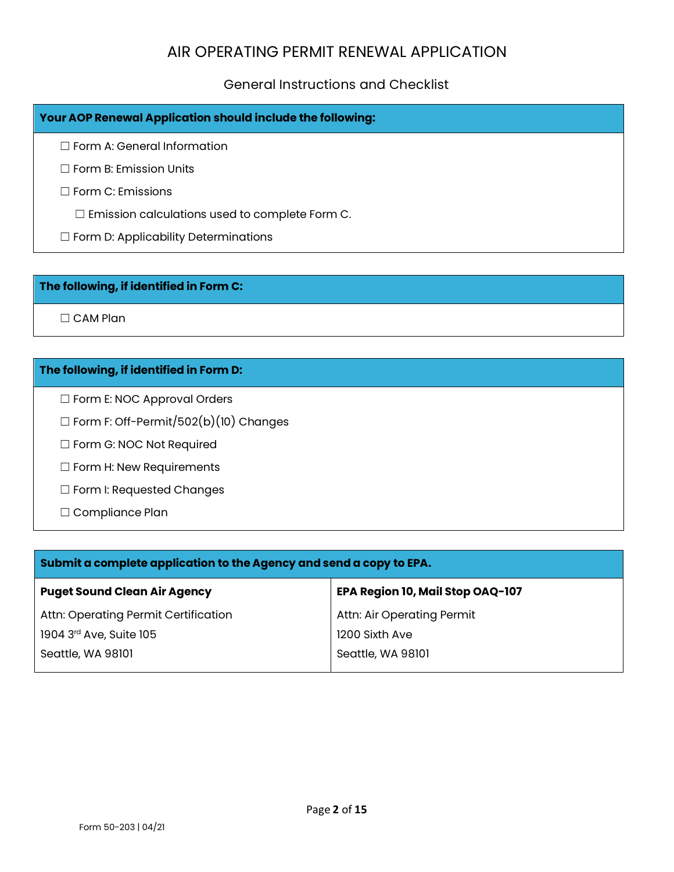#### General Instructions and Checklist

| Your AOP Renewal Application should include the following: |
|------------------------------------------------------------|
| $\Box$ Form A: General Information                         |
| $\Box$ Form B: Emission Units                              |
| $\Box$ Form C: Emissions                                   |
| $\Box$ Emission calculations used to complete Form C.      |
| $\Box$ Form D: Applicability Determinations                |

#### **The following, if identified in Form C:**

□ CAM Plan

#### **The following, if identified in Form D:**

☐ Form E: NOC Approval Orders

☐ Form F: Off-Permit/502(b)(10) Changes

☐ Form G: NOC Not Required

☐ Form H: New Requirements

☐ Form I: Requested Changes

☐ Compliance Plan

| Submit a complete application to the Agency and send a copy to EPA. |                                  |  |  |  |
|---------------------------------------------------------------------|----------------------------------|--|--|--|
| <b>Puget Sound Clean Air Agency</b>                                 | EPA Region 10, Mail Stop OAQ-107 |  |  |  |
| Attn: Operating Permit Certification                                | Attn: Air Operating Permit       |  |  |  |
| 1904 3rd Ave, Suite 105                                             | 1200 Sixth Ave                   |  |  |  |
| Seattle, WA 98101                                                   | Seattle, WA 98101                |  |  |  |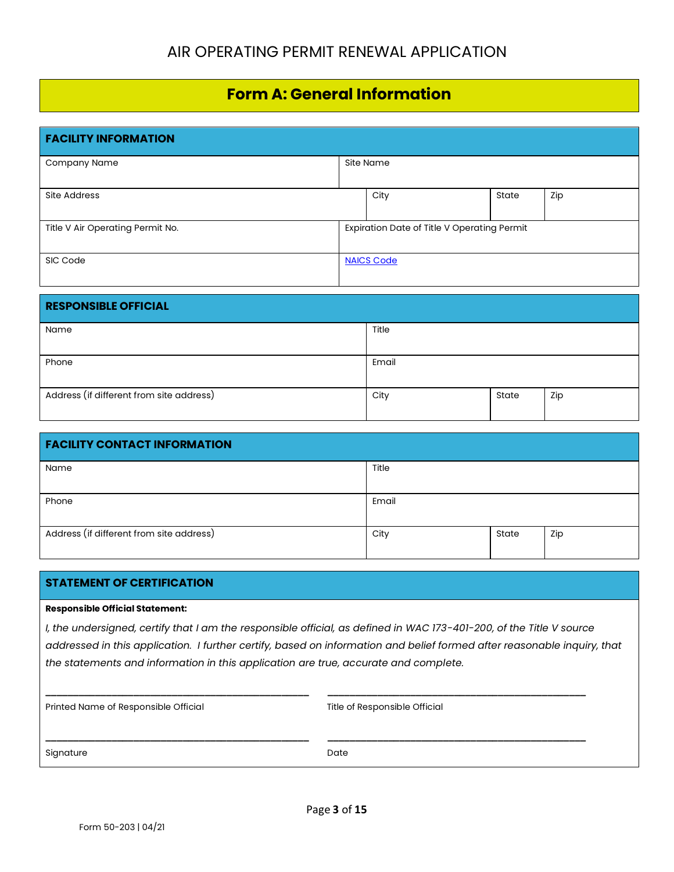## **Form A: General Information**

| <b>FACILITY INFORMATION</b>      |  |                                             |       |     |
|----------------------------------|--|---------------------------------------------|-------|-----|
| Company Name                     |  | Site Name                                   |       |     |
| Site Address                     |  | City                                        | State | Zip |
| Title V Air Operating Permit No. |  | Expiration Date of Title V Operating Permit |       |     |
| SIC Code                         |  | <b>NAICS Code</b>                           |       |     |

| <b>RESPONSIBLE OFFICIAL</b>              |       |       |     |
|------------------------------------------|-------|-------|-----|
| Name                                     | Title |       |     |
| Phone                                    | Email |       |     |
| Address (if different from site address) | City  | State | Zip |

| <b>FACILITY CONTACT INFORMATION</b>      |       |       |     |  |
|------------------------------------------|-------|-------|-----|--|
| Name                                     | Title |       |     |  |
| Phone                                    | Email |       |     |  |
| Address (if different from site address) | City  | State | Zip |  |

#### **STATEMENT OF CERTIFICATION**

#### **Responsible Official Statement:**

*I, the undersigned, certify that I am the responsible official, as defined in WAC 173-401-200, of the Title V source addressed in this application. I further certify, based on information and belief formed after reasonable inquiry, that the statements and information in this application are true, accurate and complete.* 

**\_\_\_\_\_\_\_\_\_\_\_\_\_\_\_\_\_\_\_\_\_\_\_\_\_\_\_\_\_\_\_\_\_\_\_\_\_\_\_\_\_\_\_\_\_\_\_\_ \_\_\_\_\_\_\_\_\_\_\_\_\_\_\_\_\_\_\_\_\_\_\_\_\_\_\_\_\_\_\_\_\_\_\_\_\_\_\_\_\_\_\_\_\_\_\_**

**\_\_\_\_\_\_\_\_\_\_\_\_\_\_\_\_\_\_\_\_\_\_\_\_\_\_\_\_\_\_\_\_\_\_\_\_\_\_\_\_\_\_\_\_\_\_\_\_ \_\_\_\_\_\_\_\_\_\_\_\_\_\_\_\_\_\_\_\_\_\_\_\_\_\_\_\_\_\_\_\_\_\_\_\_\_\_\_\_\_\_\_\_\_\_\_**

|  |  |  | Printed Name of Responsible Official |
|--|--|--|--------------------------------------|
|  |  |  |                                      |

Title of Responsible Official

Signature Date Date Date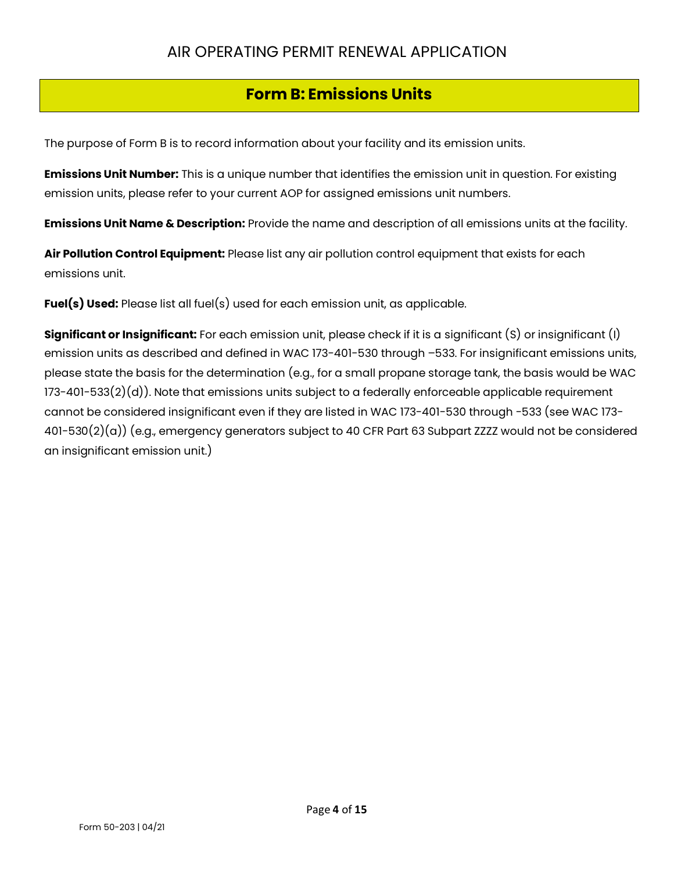## **Form B: Emissions Units**

The purpose of Form B is to record information about your facility and its emission units.

**Emissions Unit Number:** This is a unique number that identifies the emission unit in question. For existing emission units, please refer to your current AOP for assigned emissions unit numbers.

**Emissions Unit Name & Description:** Provide the name and description of all emissions units at the facility.

**Air Pollution Control Equipment:** Please list any air pollution control equipment that exists for each emissions unit.

**Fuel(s) Used:** Please list all fuel(s) used for each emission unit, as applicable.

**Significant or Insignificant:** For each emission unit, please check if it is a significant (S) or insignificant (I) emission units as described and defined in WAC 173-401-530 through –533. For insignificant emissions units, please state the basis for the determination (e.g., for a small propane storage tank, the basis would be WAC 173-401-533(2)(d)). Note that emissions units subject to a federally enforceable applicable requirement cannot be considered insignificant even if they are listed in WAC 173-401-530 through -533 (see WAC 173- 401-530(2)(a)) (e.g., emergency generators subject to 40 CFR Part 63 Subpart ZZZZ would not be considered an insignificant emission unit.)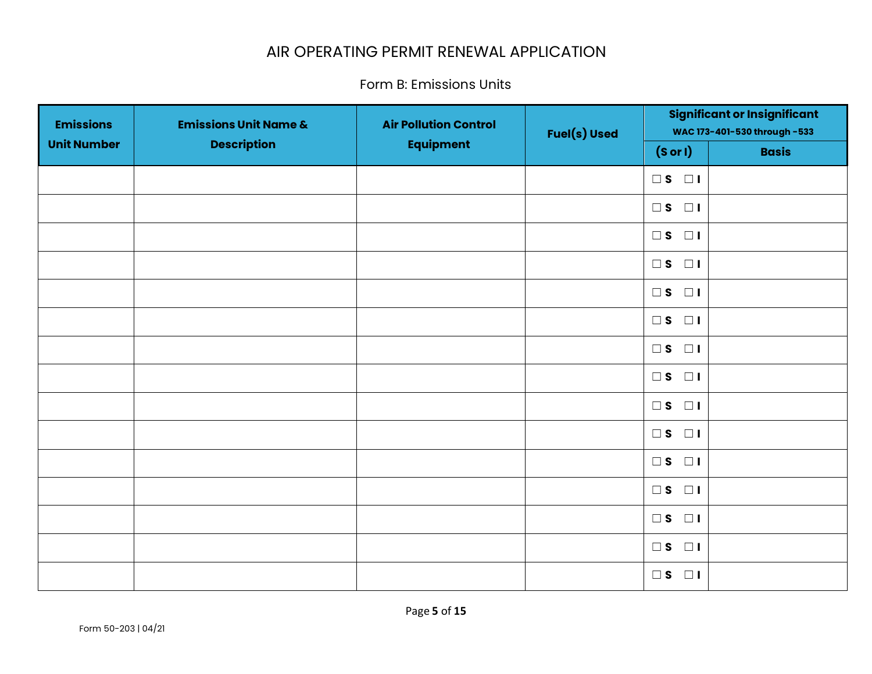Form B: Emissions Units

| <b>Emissions</b>   | <b>Emissions Unit Name &amp;</b> | <b>Air Pollution Control</b> | <b>Fuel(s) Used</b> |                         | <b>Significant or Insignificant</b><br>WAC 173-401-530 through -533 |
|--------------------|----------------------------------|------------------------------|---------------------|-------------------------|---------------------------------------------------------------------|
| <b>Unit Number</b> | <b>Description</b>               | <b>Equipment</b>             |                     | (Sor I)                 | <b>Basis</b>                                                        |
|                    |                                  |                              |                     | $\square$ S $\square$ I |                                                                     |
|                    |                                  |                              |                     | $\square$ s $\square$ i |                                                                     |
|                    |                                  |                              |                     | $\square$ s $\square$   |                                                                     |
|                    |                                  |                              |                     | $\square$ s $\square$   |                                                                     |
|                    |                                  |                              |                     | $\square$ s $\square$ i |                                                                     |
|                    |                                  |                              |                     | $\square$ s $\square$   |                                                                     |
|                    |                                  |                              |                     | $\square$ s $\square$ i |                                                                     |
|                    |                                  |                              |                     | $\square$ s $\square$   |                                                                     |
|                    |                                  |                              |                     | $\square$ s $\square$   |                                                                     |
|                    |                                  |                              |                     | $\square$ s $\square$ i |                                                                     |
|                    |                                  |                              |                     | $\square$ s $\square$ i |                                                                     |
|                    |                                  |                              |                     | $\square$ s $\square$ l |                                                                     |
|                    |                                  |                              |                     | $\square$ s $\square$ i |                                                                     |
|                    |                                  |                              |                     | $\square$ s $\square$ l |                                                                     |
|                    |                                  |                              |                     | $\square$ s $\square$ i |                                                                     |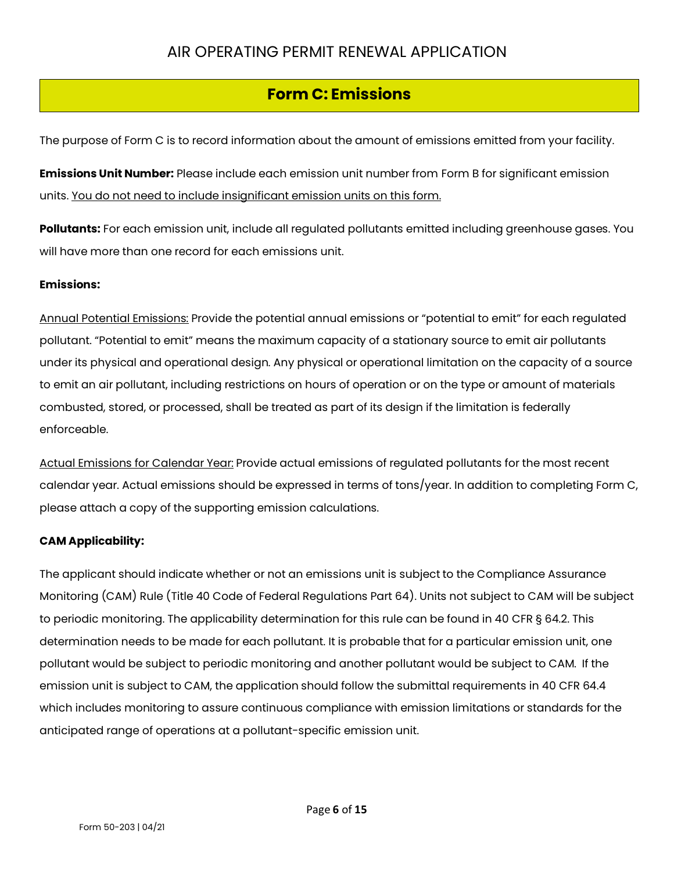## **Form C: Emissions**

The purpose of Form C is to record information about the amount of emissions emitted from your facility.

**Emissions Unit Number:** Please include each emission unit number from Form B for significant emission units. You do not need to include insignificant emission units on this form.

**Pollutants:** For each emission unit, include all regulated pollutants emitted including greenhouse gases. You will have more than one record for each emissions unit.

#### **Emissions:**

Annual Potential Emissions: Provide the potential annual emissions or "potential to emit" for each regulated pollutant. "Potential to emit" means the maximum capacity of a stationary source to emit air pollutants under its physical and operational design. Any physical or operational limitation on the capacity of a source to emit an air pollutant, including restrictions on hours of operation or on the type or amount of materials combusted, stored, or processed, shall be treated as part of its design if the limitation is federally enforceable.

Actual Emissions for Calendar Year: Provide actual emissions of regulated pollutants for the most recent calendar year. Actual emissions should be expressed in terms of tons/year. In addition to completing Form C, please attach a copy of the supporting emission calculations.

#### **CAM Applicability:**

The applicant should indicate whether or not an emissions unit is subject to the Compliance Assurance Monitoring (CAM) Rule (Title 40 Code of Federal Regulations Part 64). Units not subject to CAM will be subject to periodic monitoring. The applicability determination for this rule can be found in 40 CFR § 64.2. This determination needs to be made for each pollutant. It is probable that for a particular emission unit, one pollutant would be subject to periodic monitoring and another pollutant would be subject to CAM. If the emission unit is subject to CAM, the application should follow the submittal requirements in 40 CFR 64.4 which includes monitoring to assure continuous compliance with emission limitations or standards for the anticipated range of operations at a pollutant-specific emission unit.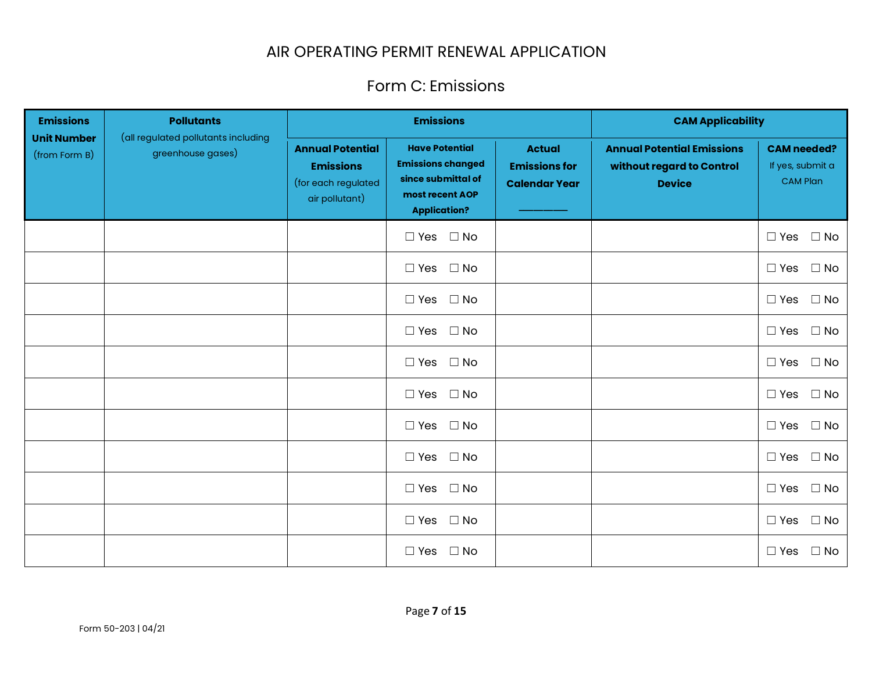## Form C: Emissions

| <b>Emissions</b>                    | <b>Pollutants</b>                                        | <b>Emissions</b>                                                                     |                                                                                                                   | <b>CAM Applicability</b>                                      |                                                                                 |                                                           |
|-------------------------------------|----------------------------------------------------------|--------------------------------------------------------------------------------------|-------------------------------------------------------------------------------------------------------------------|---------------------------------------------------------------|---------------------------------------------------------------------------------|-----------------------------------------------------------|
| <b>Unit Number</b><br>(from Form B) | (all regulated pollutants including<br>greenhouse gases) | <b>Annual Potential</b><br><b>Emissions</b><br>(for each regulated<br>air pollutant) | <b>Have Potential</b><br><b>Emissions changed</b><br>since submittal of<br>most recent AOP<br><b>Application?</b> | <b>Actual</b><br><b>Emissions for</b><br><b>Calendar Year</b> | <b>Annual Potential Emissions</b><br>without regard to Control<br><b>Device</b> | <b>CAM needed?</b><br>If yes, submit a<br><b>CAM Plan</b> |
|                                     |                                                          |                                                                                      | $\Box$ Yes $\Box$ No                                                                                              |                                                               |                                                                                 | $\Box$ Yes $\Box$ No                                      |
|                                     |                                                          |                                                                                      | $\Box$ Yes<br>$\square$ No                                                                                        |                                                               |                                                                                 | $\Box$ Yes $\Box$ No                                      |
|                                     |                                                          |                                                                                      | $\Box$ Yes $\Box$ No                                                                                              |                                                               |                                                                                 | $\square$ No<br>$\Box$ Yes                                |
|                                     |                                                          |                                                                                      | $\square$ No<br>$\Box$ Yes                                                                                        |                                                               |                                                                                 | $\square$ No<br>$\Box$ Yes                                |
|                                     |                                                          |                                                                                      | $\Box$ Yes $\Box$ No                                                                                              |                                                               |                                                                                 | $\Box$ Yes $\Box$ No                                      |
|                                     |                                                          |                                                                                      | $\Box$ Yes<br>$\Box$ No                                                                                           |                                                               |                                                                                 | $\Box$ No<br>$\Box$ Yes                                   |
|                                     |                                                          |                                                                                      | $\Box$ No<br>$\Box$ Yes                                                                                           |                                                               |                                                                                 | $\square$ No<br>$\Box$ Yes                                |
|                                     |                                                          |                                                                                      | $\Box$ Yes $\Box$ No                                                                                              |                                                               |                                                                                 | $\Box$ Yes $\Box$ No                                      |
|                                     |                                                          |                                                                                      | $\square$ No<br>$\Box$ Yes                                                                                        |                                                               |                                                                                 | $\square$ No<br>$\Box$ Yes                                |
|                                     |                                                          |                                                                                      | $\Box$ Yes $\Box$ No                                                                                              |                                                               |                                                                                 | $\Box$ Yes $\Box$ No                                      |
|                                     |                                                          |                                                                                      | $\Box$ Yes<br>$\square$ No                                                                                        |                                                               |                                                                                 | $\Box$ Yes<br>$\Box$ No                                   |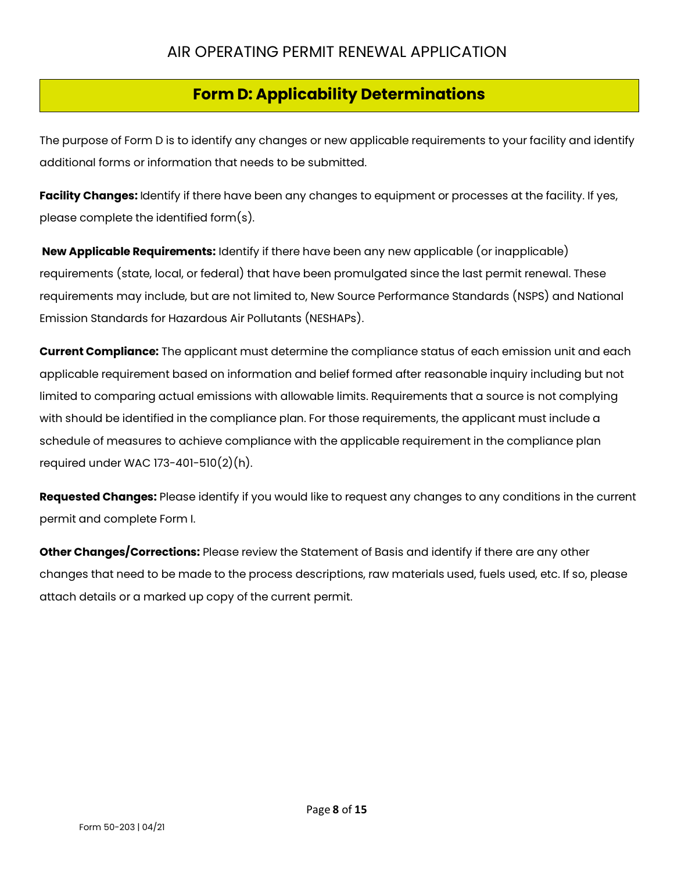## **Form D: Applicability Determinations**

The purpose of Form D is to identify any changes or new applicable requirements to your facility and identify additional forms or information that needs to be submitted.

**Facility Changes:** Identify if there have been any changes to equipment or processes at the facility. If yes, please complete the identified form(s).

**New Applicable Requirements:** Identify if there have been any new applicable (or inapplicable) requirements (state, local, or federal) that have been promulgated since the last permit renewal. These requirements may include, but are not limited to, New Source Performance Standards (NSPS) and National Emission Standards for Hazardous Air Pollutants (NESHAPs).

**Current Compliance:** The applicant must determine the compliance status of each emission unit and each applicable requirement based on information and belief formed after reasonable inquiry including but not limited to comparing actual emissions with allowable limits. Requirements that a source is not complying with should be identified in the compliance plan. For those requirements, the applicant must include a schedule of measures to achieve compliance with the applicable requirement in the compliance plan required under WAC 173-401-510(2)(h).

**Requested Changes:** Please identify if you would like to request any changes to any conditions in the current permit and complete Form I.

**Other Changes/Corrections:** Please review the Statement of Basis and identify if there are any other changes that need to be made to the process descriptions, raw materials used, fuels used, etc. If so, please attach details or a marked up copy of the current permit.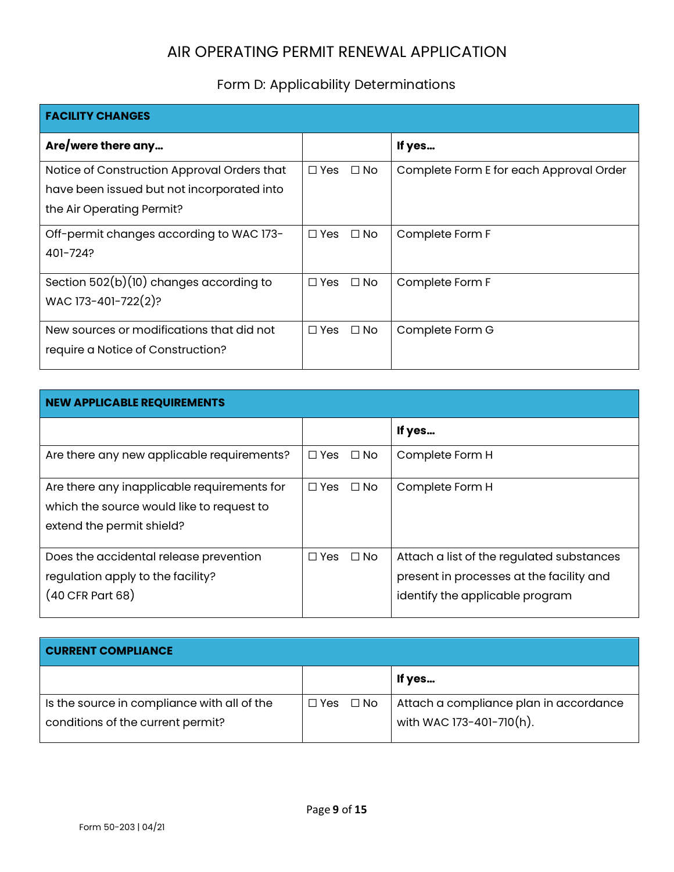# Form D: Applicability Determinations

| <b>FACILITY CHANGES</b>                                                                                                |                            |                                         |
|------------------------------------------------------------------------------------------------------------------------|----------------------------|-----------------------------------------|
| Are/were there any                                                                                                     |                            | If yes                                  |
| Notice of Construction Approval Orders that<br>have been issued but not incorporated into<br>the Air Operating Permit? | $\Box$ Yes<br>$\Box$ No    | Complete Form E for each Approval Order |
| Off-permit changes according to WAC 173-<br>401-724?                                                                   | $\Box$ Yes<br>$\square$ No | Complete Form F                         |
| Section $502(b)(10)$ changes according to<br>WAC 173-401-722(2)?                                                       | $\Box$ No<br>$\Box$ Yes    | Complete Form F                         |
| New sources or modifications that did not<br>require a Notice of Construction?                                         | $\Box$ No<br>$\Box$ Yes    | Complete Form G                         |

| <b>NEW APPLICABLE REQUIREMENTS</b>          |                         |                                           |  |  |
|---------------------------------------------|-------------------------|-------------------------------------------|--|--|
|                                             |                         | If yes                                    |  |  |
| Are there any new applicable requirements?  | $\square$ Yes<br>⊟ No   | Complete Form H                           |  |  |
| Are there any inapplicable requirements for | $\Box$ No<br>$\Box$ Yes | Complete Form H                           |  |  |
| which the source would like to request to   |                         |                                           |  |  |
| extend the permit shield?                   |                         |                                           |  |  |
| Does the accidental release prevention      | $\Box$ No<br>□ Yes      | Attach a list of the regulated substances |  |  |
| regulation apply to the facility?           |                         | present in processes at the facility and  |  |  |
| (40 CFR Part 68)                            |                         | identify the applicable program           |  |  |

| <b>CURRENT COMPLIANCE</b>                   |                      |                                        |
|---------------------------------------------|----------------------|----------------------------------------|
|                                             |                      | If yes                                 |
| Is the source in compliance with all of the | $\Box$ Yes $\Box$ No | Attach a compliance plan in accordance |
| conditions of the current permit?           |                      | with WAC 173-401-710(h).               |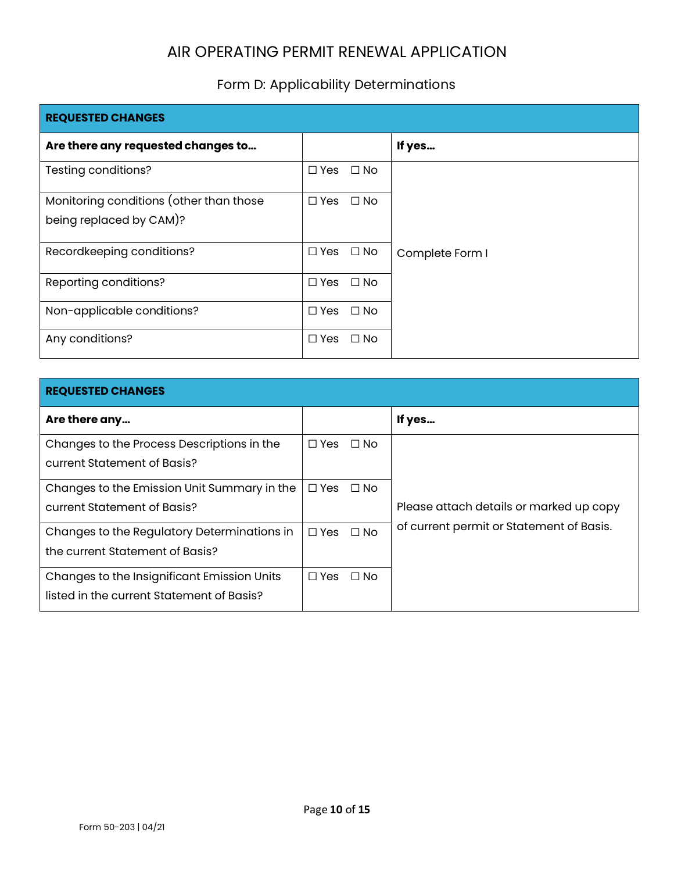## Form D: Applicability Determinations

| <b>REQUESTED CHANGES</b>                |                            |                 |  |  |
|-----------------------------------------|----------------------------|-----------------|--|--|
| Are there any requested changes to      |                            | If yes          |  |  |
| Testing conditions?                     | $\Box$ No<br>$\square$ Yes |                 |  |  |
| Monitoring conditions (other than those | $\Box$ Yes<br>$\Box$ No    |                 |  |  |
| being replaced by CAM)?                 |                            |                 |  |  |
| Recordkeeping conditions?               | $\square$ No<br>□ Yes      | Complete Form I |  |  |
| Reporting conditions?                   | $\Box$ No<br>$\Box$ Yes    |                 |  |  |
| Non-applicable conditions?              | $\Box$ No<br>$\square$ Yes |                 |  |  |
| Any conditions?                         | $\square$ No<br>$\Box$ Yes |                 |  |  |

| <b>REQUESTED CHANGES</b>                                                                 |                         |                                          |  |  |  |
|------------------------------------------------------------------------------------------|-------------------------|------------------------------------------|--|--|--|
| Are there any                                                                            |                         | If yes                                   |  |  |  |
| Changes to the Process Descriptions in the<br>current Statement of Basis?                | $\Box$ Yes<br>$\Box$ No |                                          |  |  |  |
| Changes to the Emission Unit Summary in the<br>current Statement of Basis?               | $\Box$ Yes<br>⊟ No      | Please attach details or marked up copy  |  |  |  |
| Changes to the Regulatory Determinations in<br>the current Statement of Basis?           | $\Box$ Yes<br>$\Box$ No | of current permit or Statement of Basis. |  |  |  |
| Changes to the Insignificant Emission Units<br>listed in the current Statement of Basis? | $\Box$ No<br>$\Box$ Yes |                                          |  |  |  |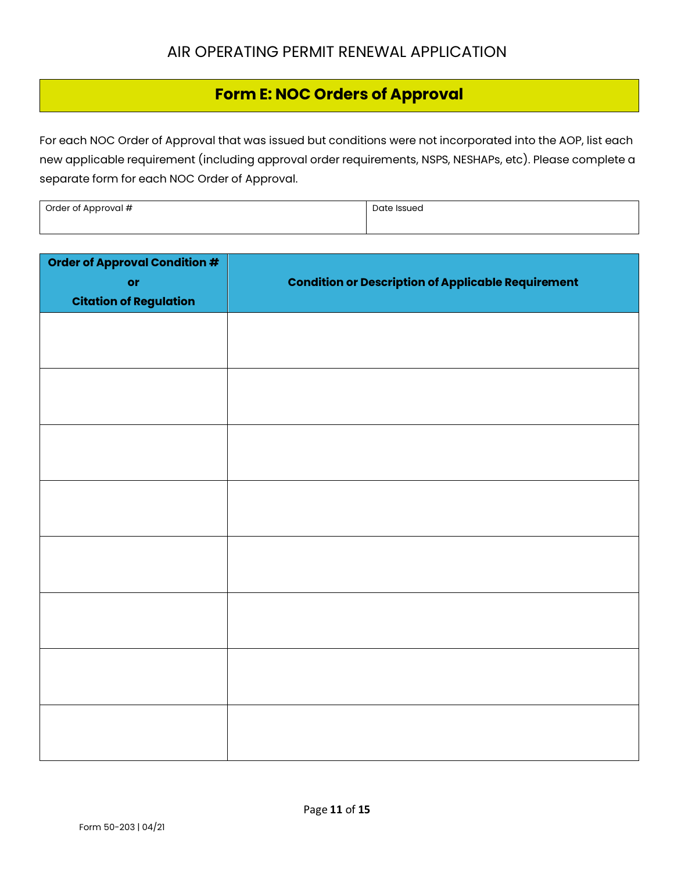## **Form E: NOC Orders of Approval**

For each NOC Order of Approval that was issued but conditions were not incorporated into the AOP, list each new applicable requirement (including approval order requirements, NSPS, NESHAPs, etc). Please complete a separate form for each NOC Order of Approval.

| Order of Approval # | Date Issued |
|---------------------|-------------|
|                     |             |

| Order of Approval Condition #<br>or<br><b>Citation of Regulation</b> | <b>Condition or Description of Applicable Requirement</b> |
|----------------------------------------------------------------------|-----------------------------------------------------------|
|                                                                      |                                                           |
|                                                                      |                                                           |
|                                                                      |                                                           |
|                                                                      |                                                           |
|                                                                      |                                                           |
|                                                                      |                                                           |
|                                                                      |                                                           |
|                                                                      |                                                           |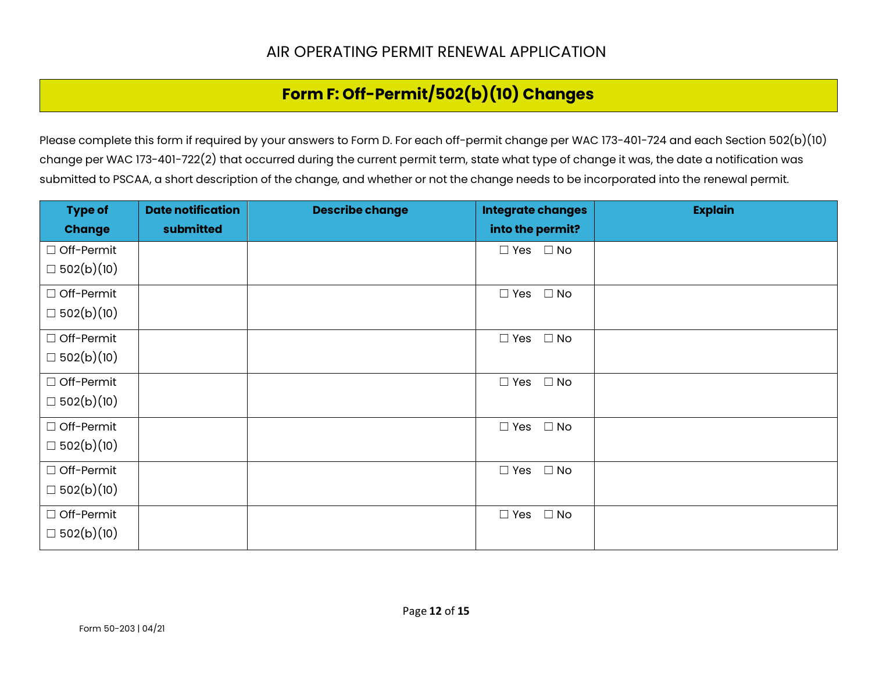## **Form F: Off-Permit/502(b)(10) Changes**

Please complete this form if required by your answers to Form D. For each off-permit change per WAC 173-401-724 and each Section 502(b)(10) change per WAC 173-401-722(2) that occurred during the current permit term, state what type of change it was, the date a notification was submitted to PSCAA, a short description of the change, and whether or not the change needs to be incorporated into the renewal permit.

| <b>Type of</b>    | <b>Date notification</b> | <b>Describe change</b> | <b>Integrate changes</b>   | <b>Explain</b> |
|-------------------|--------------------------|------------------------|----------------------------|----------------|
| <b>Change</b>     | submitted                |                        | into the permit?           |                |
| □ Off-Permit      |                          |                        | $\Box$ Yes $\Box$ No       |                |
| $\Box 502(b)(10)$ |                          |                        |                            |                |
| □ Off-Permit      |                          |                        | $\square$ No<br>$\Box$ Yes |                |
| $\Box 502(b)(10)$ |                          |                        |                            |                |
| □ Off-Permit      |                          |                        | $\Box$ Yes $\Box$ No       |                |
| $\Box 502(b)(10)$ |                          |                        |                            |                |
| □ Off-Permit      |                          |                        | $\Box$ No<br>$\Box$ Yes    |                |
| $\Box 502(b)(10)$ |                          |                        |                            |                |
| □ Off-Permit      |                          |                        | $\square$ No<br>$\Box$ Yes |                |
| $\Box 502(b)(10)$ |                          |                        |                            |                |
| □ Off-Permit      |                          |                        | $\square$ No<br>$\Box$ Yes |                |
| $\Box 502(b)(10)$ |                          |                        |                            |                |
| □ Off-Permit      |                          |                        | $\Box$ Yes $\Box$ No       |                |
| $\Box 502(b)(10)$ |                          |                        |                            |                |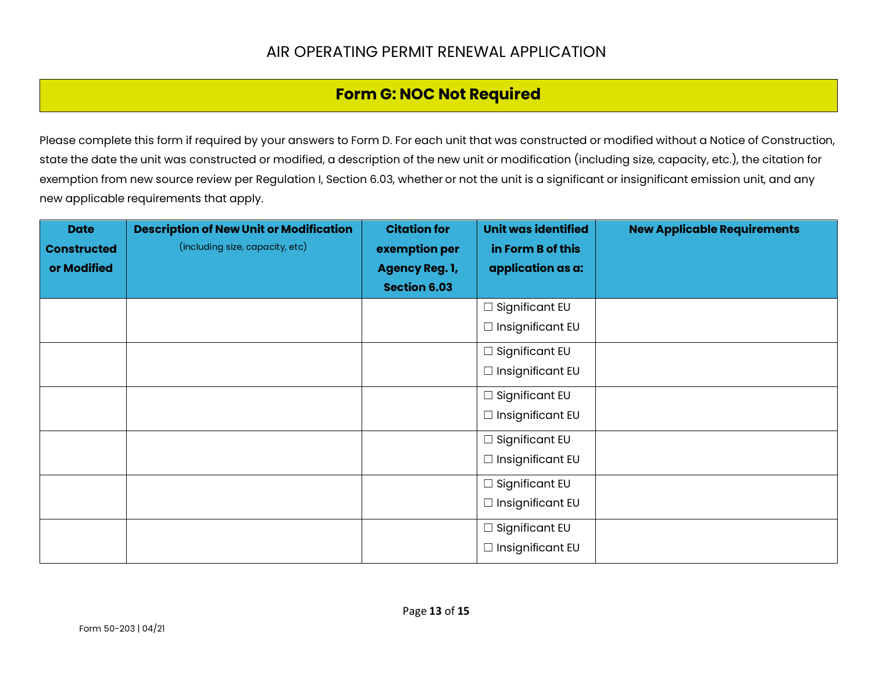### **Form G: NOC Not Required**

Please complete this form if required by your answers to Form D. For each unit that was constructed or modified without a Notice of Construction, state the date the unit was constructed or modified, a description of the new unit or modification (including size, capacity, etc.), the citation for exemption from new source review per Regulation I, Section 6.03, whether or not the unit is a significant or insignificant emission unit, and any new applicable requirements that apply.

| <b>Date</b>        | <b>Description of New Unit or Modification</b> | <b>Citation for</b>   | Unit was identified     | <b>New Applicable Requirements</b> |
|--------------------|------------------------------------------------|-----------------------|-------------------------|------------------------------------|
| <b>Constructed</b> | (including size, capacity, etc)                | exemption per         | in Form B of this       |                                    |
| or Modified        |                                                | <b>Agency Reg. 1,</b> | application as a:       |                                    |
|                    |                                                | <b>Section 6.03</b>   |                         |                                    |
|                    |                                                |                       | $\Box$ Significant EU   |                                    |
|                    |                                                |                       | $\Box$ Insignificant EU |                                    |
|                    |                                                |                       | $\Box$ Significant EU   |                                    |
|                    |                                                |                       | $\Box$ Insignificant EU |                                    |
|                    |                                                |                       | $\Box$ Significant EU   |                                    |
|                    |                                                |                       | $\Box$ Insignificant EU |                                    |
|                    |                                                |                       | $\Box$ Significant EU   |                                    |
|                    |                                                |                       | $\Box$ Insignificant EU |                                    |
|                    |                                                |                       | $\Box$ Significant EU   |                                    |
|                    |                                                |                       | $\Box$ Insignificant EU |                                    |
|                    |                                                |                       | $\Box$ Significant EU   |                                    |
|                    |                                                |                       | $\Box$ Insignificant EU |                                    |
|                    |                                                |                       |                         |                                    |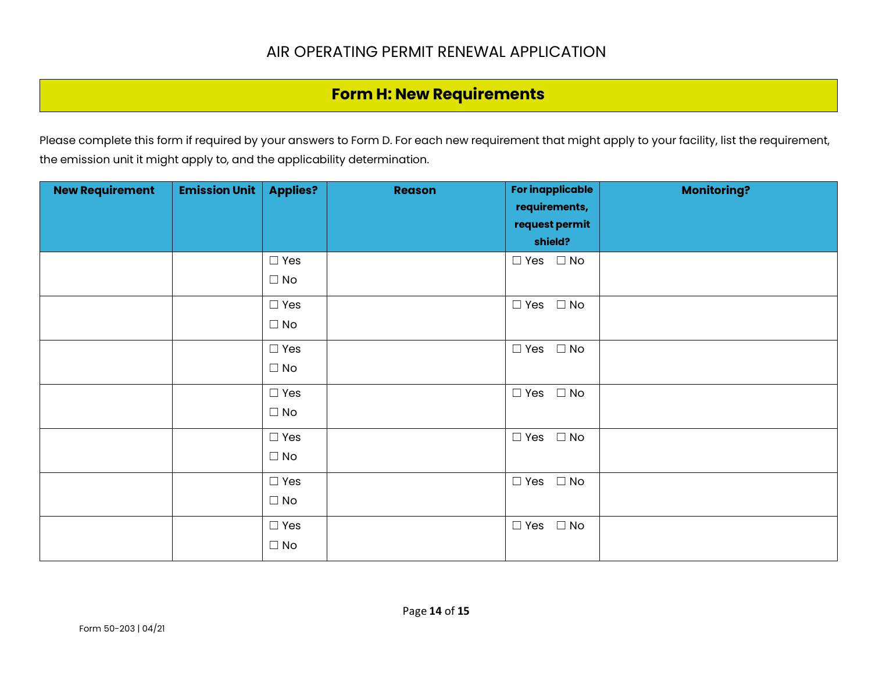## **Form H: New Requirements**

Please complete this form if required by your answers to Form D. For each new requirement that might apply to your facility, list the requirement, the emission unit it might apply to, and the applicability determination.

| <b>New Requirement</b> | <b>Emission Unit</b> | <b>Applies?</b>            | <b>Reason</b> | <b>For inapplicable</b><br>requirements,<br>request permit<br>shield? | <b>Monitoring?</b> |
|------------------------|----------------------|----------------------------|---------------|-----------------------------------------------------------------------|--------------------|
|                        |                      | $\Box$ Yes<br>$\Box$ No    |               | $\Box$ Yes $\Box$ No                                                  |                    |
|                        |                      | $\Box$ Yes<br>$\Box$ No    |               | $\Box$ Yes $\Box$ No                                                  |                    |
|                        |                      | $\Box$ Yes<br>$\Box$ No    |               | $\Box$ No<br>$\Box$ Yes                                               |                    |
|                        |                      | $\Box$ Yes<br>$\square$ No |               | $\Box$ Yes $\Box$ No                                                  |                    |
|                        |                      | $\Box$ Yes<br>$\Box$ No    |               | $\Box$ No<br>$\square$ Yes                                            |                    |
|                        |                      | $\Box$ Yes<br>$\Box$ No    |               | $\Box$ Yes<br>$\square$ No                                            |                    |
|                        |                      | $\Box$ Yes<br>$\Box$ No    |               | $\Box$ Yes $\Box$ No                                                  |                    |